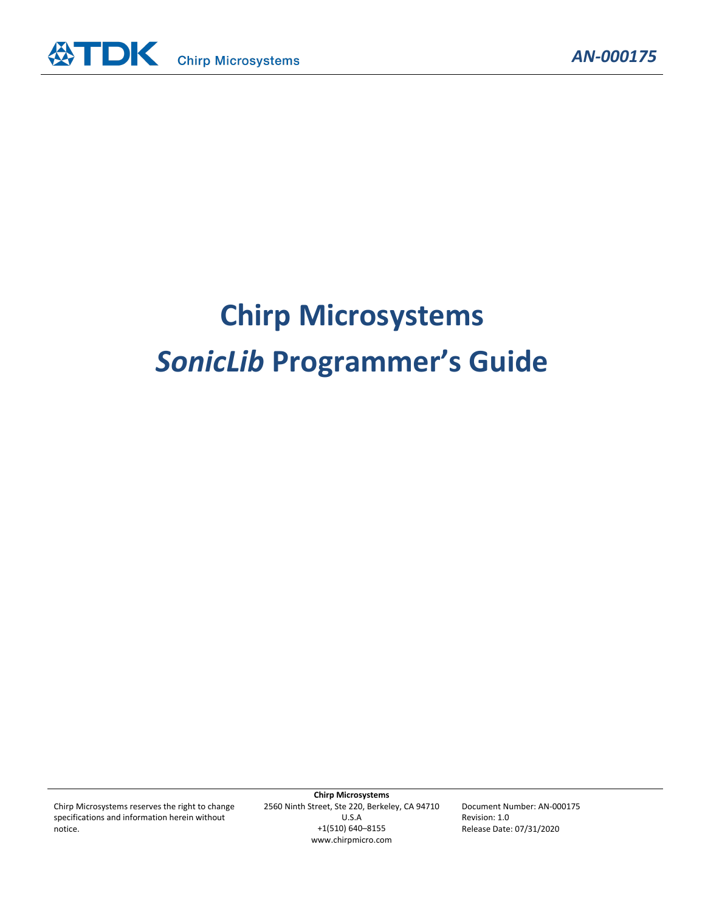

# **Chirp Microsystems** *SonicLib* **Programmer's Guide**

Chirp Microsystems reserves the right to change specifications and information herein without notice.

**Chirp Microsystems** 2560 Ninth Street, Ste 220, Berkeley, CA 94710 U.S.A +1(510) 640–8155 www.chirpmicro.com

Document Number: AN-000175 Revision: 1.0 Release Date: 07/31/2020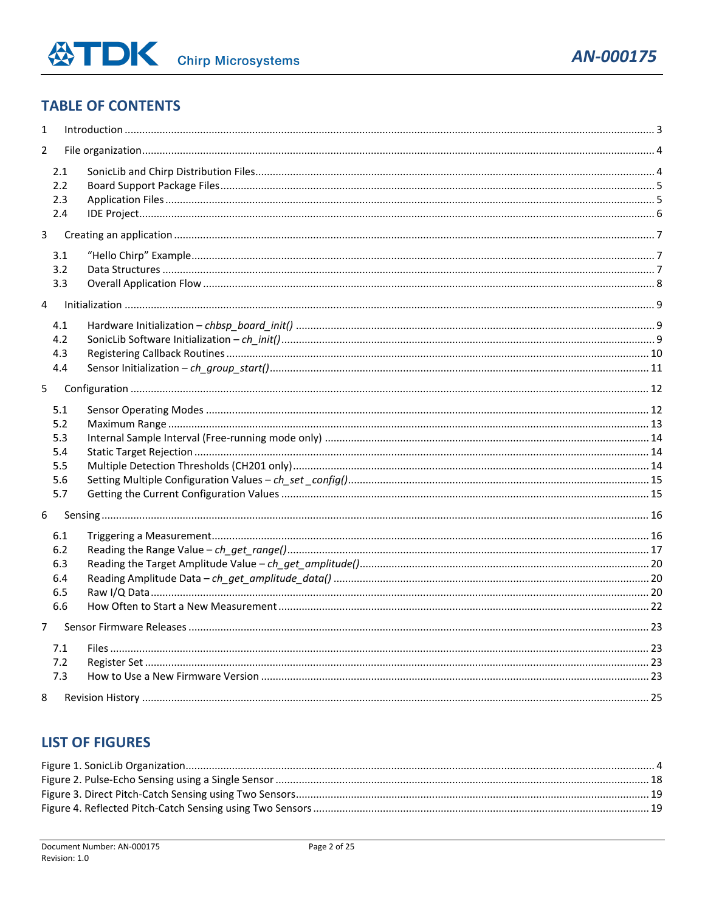# **TABLE OF CONTENTS**

| $\mathbf{1}$   |                                               |  |  |  |  |
|----------------|-----------------------------------------------|--|--|--|--|
| $\overline{2}$ |                                               |  |  |  |  |
|                | 2.1<br>2.2<br>2.3<br>2.4                      |  |  |  |  |
| 3              |                                               |  |  |  |  |
|                | 3.1<br>3.2<br>3.3                             |  |  |  |  |
| 4              |                                               |  |  |  |  |
|                | 4.1<br>4.2<br>4.3<br>4.4                      |  |  |  |  |
| 5.             |                                               |  |  |  |  |
|                | 5.1<br>5.2<br>5.3<br>5.4<br>5.5<br>5.6<br>5.7 |  |  |  |  |
| 6              |                                               |  |  |  |  |
|                | 6.1<br>6.2<br>6.3<br>6.4<br>6.5<br>6.6        |  |  |  |  |
| $\overline{7}$ |                                               |  |  |  |  |
|                | 7.1<br>7.2<br>7.3                             |  |  |  |  |
| 8              |                                               |  |  |  |  |

# **LIST OF FIGURES**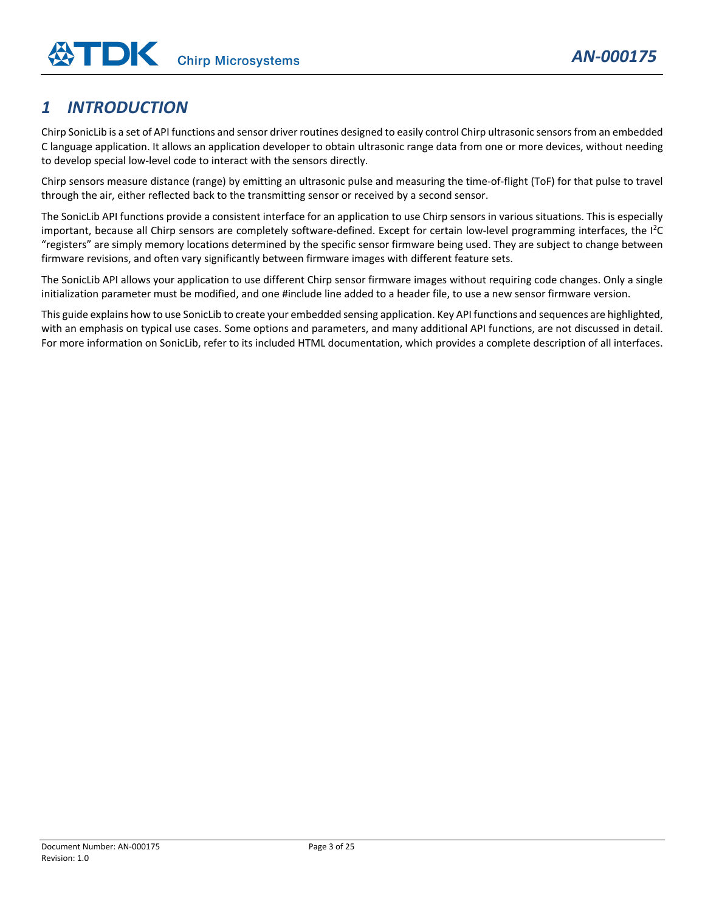# <span id="page-2-0"></span>*1 INTRODUCTION*

Chirp SonicLib is a set of API functions and sensor driver routines designed to easily control Chirp ultrasonic sensors from an embedded C language application. It allows an application developer to obtain ultrasonic range data from one or more devices, without needing to develop special low-level code to interact with the sensors directly.

Chirp sensors measure distance (range) by emitting an ultrasonic pulse and measuring the time-of-flight (ToF) for that pulse to travel through the air, either reflected back to the transmitting sensor or received by a second sensor.

The SonicLib API functions provide a consistent interface for an application to use Chirp sensors in various situations. This is especially important, because all Chirp sensors are completely software-defined. Except for certain low-level programming interfaces, the I<sup>2</sup>C "registers" are simply memory locations determined by the specific sensor firmware being used. They are subject to change between firmware revisions, and often vary significantly between firmware images with different feature sets.

The SonicLib API allows your application to use different Chirp sensor firmware images without requiring code changes. Only a single initialization parameter must be modified, and one #include line added to a header file, to use a new sensor firmware version.

This guide explains how to use SonicLib to create your embedded sensing application. Key API functions and sequences are highlighted, with an emphasis on typical use cases. Some options and parameters, and many additional API functions, are not discussed in detail. For more information on SonicLib, refer to its included HTML documentation, which provides a complete description of all interfaces.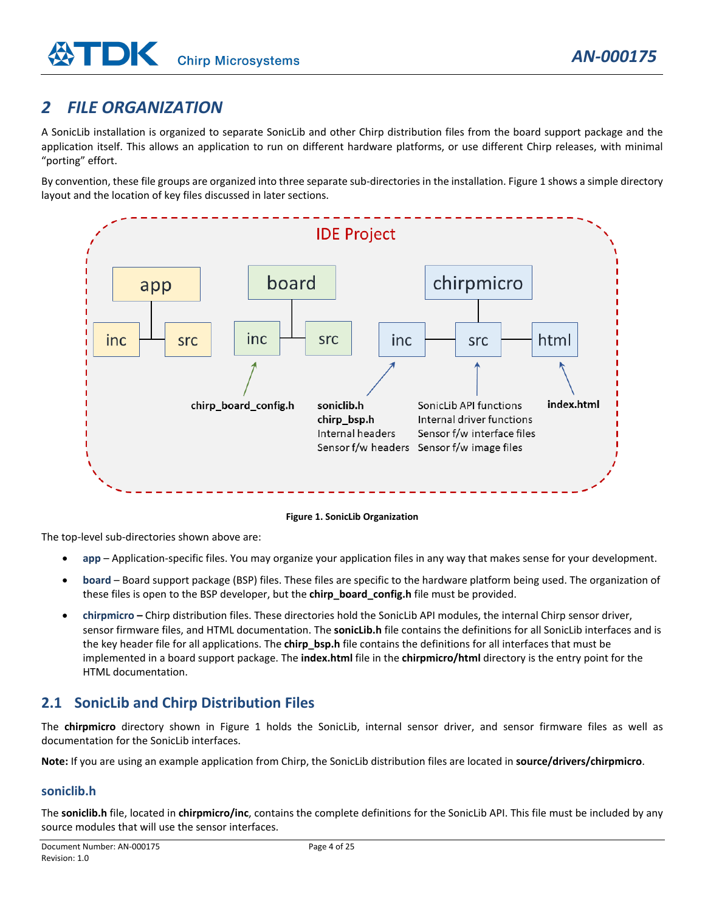# <span id="page-3-0"></span>*2 FILE ORGANIZATION*

A SonicLib installation is organized to separate SonicLib and other Chirp distribution files from the board support package and the application itself. This allows an application to run on different hardware platforms, or use different Chirp releases, with minimal "porting" effort.

By convention, these file groups are organized into three separate sub-directories in the installation. [Figure 1](#page-3-2) shows a simple directory layout and the location of key files discussed in later sections.



**Figure 1. SonicLib Organization**

<span id="page-3-2"></span>The top-level sub-directories shown above are:

- **app** Application-specific files. You may organize your application files in any way that makes sense for your development.
- **board**  Board support package (BSP) files. These files are specific to the hardware platform being used. The organization of these files is open to the BSP developer, but the **chirp\_board\_config.h** file must be provided.
- **chirpmicro –** Chirp distribution files. These directories hold the SonicLib API modules, the internal Chirp sensor driver, sensor firmware files, and HTML documentation. The **sonicLib.h** file contains the definitions for all SonicLib interfaces and is the key header file for all applications. The **chirp bsp.h** file contains the definitions for all interfaces that must be implemented in a board support package. The **index.html** file in the **chirpmicro/html** directory is the entry point for the HTML documentation.

# <span id="page-3-1"></span>**2.1 SonicLib and Chirp Distribution Files**

The **chirpmicro** directory shown in [Figure 1](#page-3-2) holds the SonicLib, internal sensor driver, and sensor firmware files as well as documentation for the SonicLib interfaces.

**Note:** If you are using an example application from Chirp, the SonicLib distribution files are located in **source/drivers/chirpmicro**.

#### **soniclib.h**

The **soniclib.h** file, located in **chirpmicro/inc**, contains the complete definitions for the SonicLib API. This file must be included by any source modules that will use the sensor interfaces.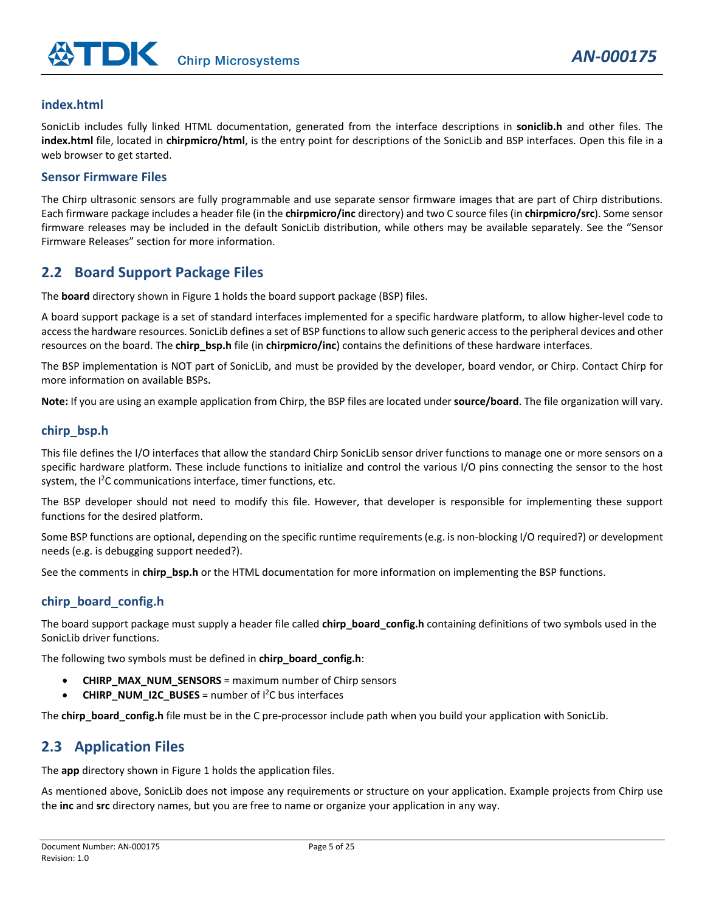#### **index.html**

SonicLib includes fully linked HTML documentation, generated from the interface descriptions in **soniclib.h** and other files. The **index.html** file, located in **chirpmicro/html**, is the entry point for descriptions of the SonicLib and BSP interfaces. Open this file in a web browser to get started.

#### **Sensor Firmware Files**

The Chirp ultrasonic sensors are fully programmable and use separate sensor firmware images that are part of Chirp distributions. Each firmware package includes a header file (in the **chirpmicro/inc** directory) and two C source files (in **chirpmicro/src**). Some sensor firmware releases may be included in the default SonicLib distribution, while others may be available separately. See the "Sensor Firmware Releases" section for more information.

# <span id="page-4-0"></span>**2.2 Board Support Package Files**

The **board** directory shown i[n Figure 1](#page-3-2) holds the board support package (BSP) files.

A board support package is a set of standard interfaces implemented for a specific hardware platform, to allow higher-level code to access the hardware resources. SonicLib defines a set of BSP functions to allow such generic access to the peripheral devices and other resources on the board. The **chirp\_bsp.h** file (in **chirpmicro/inc**) contains the definitions of these hardware interfaces.

The BSP implementation is NOT part of SonicLib, and must be provided by the developer, board vendor, or Chirp. Contact Chirp for more information on available BSPs**.**

**Note:** If you are using an example application from Chirp, the BSP files are located under **source/board**. The file organization will vary.

#### **chirp\_bsp.h**

This file defines the I/O interfaces that allow the standard Chirp SonicLib sensor driver functions to manage one or more sensors on a specific hardware platform. These include functions to initialize and control the various I/O pins connecting the sensor to the host system, the <sup>2</sup>C communications interface, timer functions, etc.

The BSP developer should not need to modify this file. However, that developer is responsible for implementing these support functions for the desired platform.

Some BSP functions are optional, depending on the specific runtime requirements (e.g. is non-blocking I/O required?) or development needs (e.g. is debugging support needed?).

See the comments in **chirp bsp.h** or the HTML documentation for more information on implementing the BSP functions.

#### **chirp\_board\_config.h**

The board support package must supply a header file called **chirp\_board\_config.h** containing definitions of two symbols used in the SonicLib driver functions.

The following two symbols must be defined in **chirp\_board\_config.h**:

- **CHIRP\_MAX\_NUM\_SENSORS** = maximum number of Chirp sensors
- **CHIRP\_NUM\_I2C\_BUSES** = number of I<sup>2</sup>C bus interfaces

The **chirp\_board\_config.h** file must be in the C pre-processor include path when you build your application with SonicLib.

# <span id="page-4-1"></span>**2.3 Application Files**

The **app** directory shown i[n Figure 1](#page-3-2) holds the application files.

As mentioned above, SonicLib does not impose any requirements or structure on your application. Example projects from Chirp use the **inc** and **src** directory names, but you are free to name or organize your application in any way.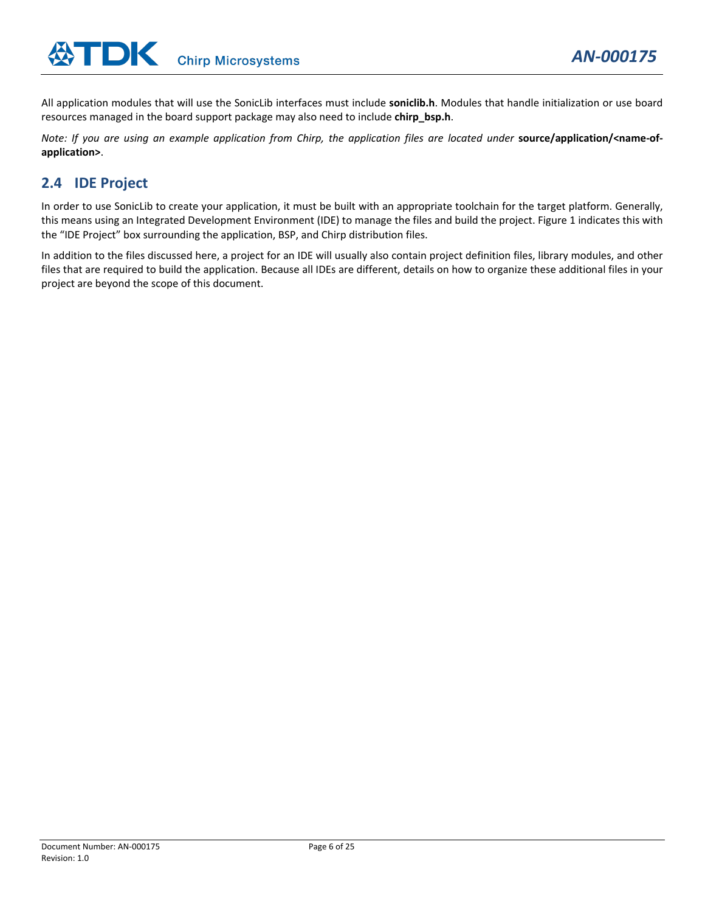All application modules that will use the SonicLib interfaces must include **soniclib.h**. Modules that handle initialization or use board resources managed in the board support package may also need to include **chirp\_bsp.h**.

*Note: If you are using an example application from Chirp, the application files are located under* **source/application/<name-ofapplication>**.

# <span id="page-5-0"></span>**2.4 IDE Project**

In order to use SonicLib to create your application, it must be built with an appropriate toolchain for the target platform. Generally, this means using an Integrated Development Environment (IDE) to manage the files and build the project[. Figure 1](#page-3-2) indicates this with the "IDE Project" box surrounding the application, BSP, and Chirp distribution files.

In addition to the files discussed here, a project for an IDE will usually also contain project definition files, library modules, and other files that are required to build the application. Because all IDEs are different, details on how to organize these additional files in your project are beyond the scope of this document.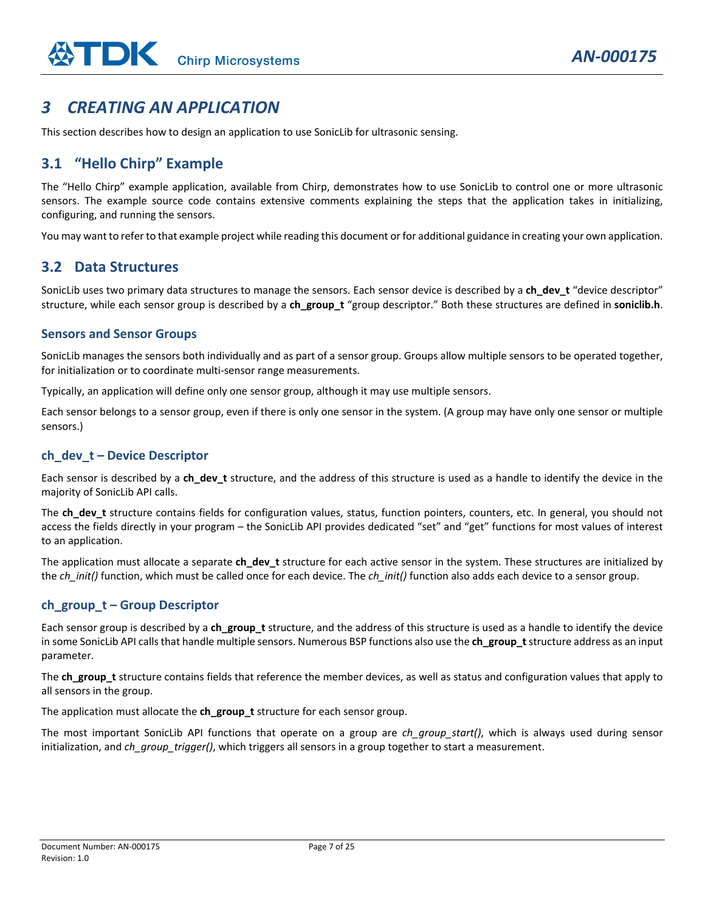# <span id="page-6-0"></span>*3 CREATING AN APPLICATION*

This section describes how to design an application to use SonicLib for ultrasonic sensing.

# <span id="page-6-1"></span>**3.1 "Hello Chirp" Example**

The "Hello Chirp" example application, available from Chirp, demonstrates how to use SonicLib to control one or more ultrasonic sensors. The example source code contains extensive comments explaining the steps that the application takes in initializing, configuring, and running the sensors.

You may want to refer to that example project while reading this document or for additional guidance in creating your own application.

# <span id="page-6-2"></span>**3.2 Data Structures**

SonicLib uses two primary data structures to manage the sensors. Each sensor device is described by a **ch\_dev\_t** "device descriptor" structure, while each sensor group is described by a **ch\_group\_t** "group descriptor." Both these structures are defined in **soniclib.h**.

#### **Sensors and Sensor Groups**

SonicLib manages the sensors both individually and as part of a sensor group. Groups allow multiple sensors to be operated together, for initialization or to coordinate multi-sensor range measurements.

Typically, an application will define only one sensor group, although it may use multiple sensors.

Each sensor belongs to a sensor group, even if there is only one sensor in the system. (A group may have only one sensor or multiple sensors.)

#### **ch\_dev\_t – Device Descriptor**

Each sensor is described by a **ch\_dev\_t** structure, and the address of this structure is used as a handle to identify the device in the majority of SonicLib API calls.

The **ch\_dev\_t** structure contains fields for configuration values, status, function pointers, counters, etc. In general, you should not access the fields directly in your program – the SonicLib API provides dedicated "set" and "get" functions for most values of interest to an application.

The application must allocate a separate ch dev t structure for each active sensor in the system. These structures are initialized by the *ch\_init()* function, which must be called once for each device. The *ch\_init()* function also adds each device to a sensor group.

#### **ch\_group\_t – Group Descriptor**

Each sensor group is described by a **ch\_group\_t** structure, and the address of this structure is used as a handle to identify the device in some SonicLib API calls that handle multiple sensors. Numerous BSP functions also use the ch\_group\_t structure address as an input parameter.

The **ch\_group\_t** structure contains fields that reference the member devices, as well as status and configuration values that apply to all sensors in the group.

The application must allocate the **ch\_group\_t** structure for each sensor group.

The most important SonicLib API functions that operate on a group are *ch\_group\_start()*, which is always used during sensor initialization, and *ch\_group\_trigger()*, which triggers all sensors in a group together to start a measurement.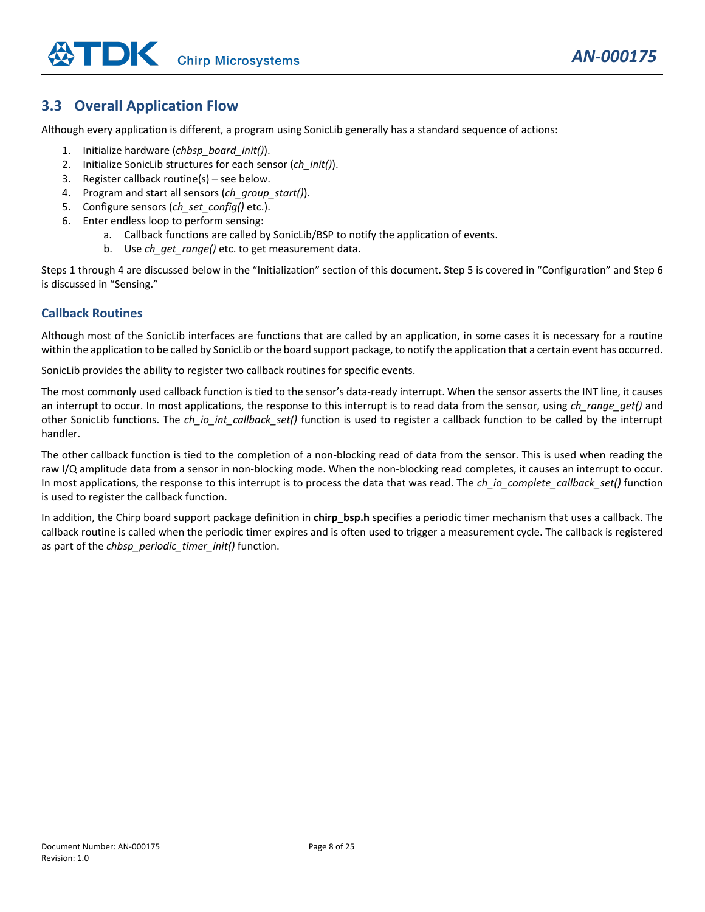# <span id="page-7-0"></span>**3.3 Overall Application Flow**

Although every application is different, a program using SonicLib generally has a standard sequence of actions:

- 1. Initialize hardware (*chbsp\_board\_init()*).
- 2. Initialize SonicLib structures for each sensor (*ch\_init()*).
- 3. Register callback routine(s) see below.
- 4. Program and start all sensors (*ch\_group\_start()*).
- 5. Configure sensors (*ch\_set\_config()* etc.).
- 6. Enter endless loop to perform sensing:
	- a. Callback functions are called by SonicLib/BSP to notify the application of events.
	- b. Use *ch\_get\_range()* etc. to get measurement data.

Steps 1 through 4 are discussed below in the "Initialization" section of this document. Step 5 is covered in "Configuration" and Step 6 is discussed in "Sensing."

#### **Callback Routines**

Although most of the SonicLib interfaces are functions that are called by an application, in some cases it is necessary for a routine within the application to be called by SonicLib or the board support package, to notify the application that a certain event has occurred.

SonicLib provides the ability to register two callback routines for specific events.

The most commonly used callback function is tied to the sensor's data-ready interrupt. When the sensor asserts the INT line, it causes an interrupt to occur. In most applications, the response to this interrupt is to read data from the sensor, using *ch\_range\_get()* and other SonicLib functions. The *ch\_io\_int\_callback\_set()* function is used to register a callback function to be called by the interrupt handler.

The other callback function is tied to the completion of a non-blocking read of data from the sensor. This is used when reading the raw I/Q amplitude data from a sensor in non-blocking mode. When the non-blocking read completes, it causes an interrupt to occur. In most applications, the response to this interrupt is to process the data that was read. The *ch\_io\_complete\_callback\_set()* function is used to register the callback function.

In addition, the Chirp board support package definition in **chirp\_bsp.h** specifies a periodic timer mechanism that uses a callback. The callback routine is called when the periodic timer expires and is often used to trigger a measurement cycle. The callback is registered as part of the *chbsp\_periodic\_timer\_init()* function.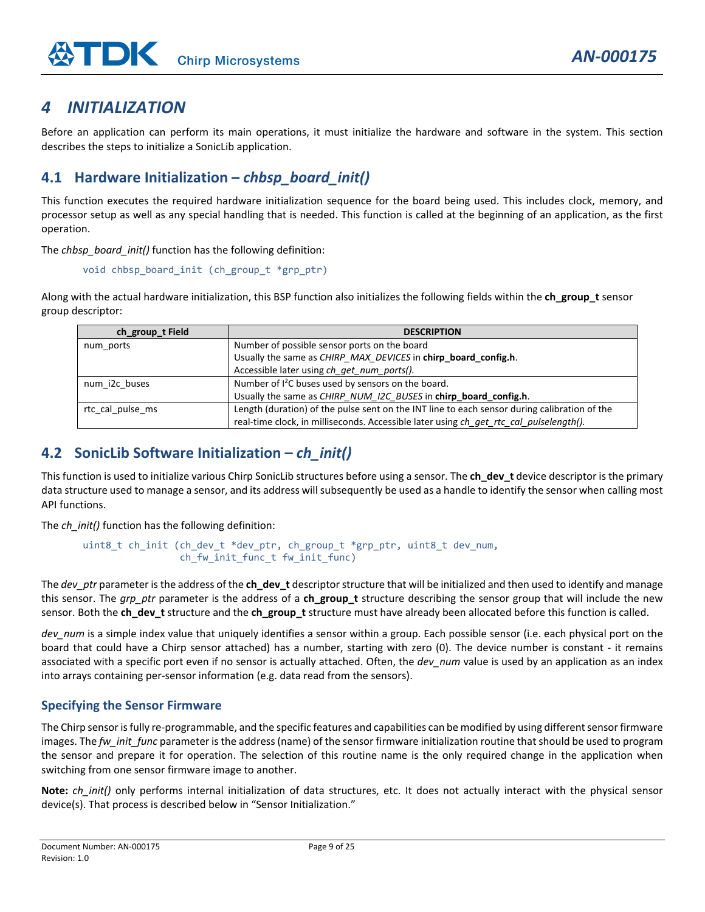# <span id="page-8-0"></span>*4 INITIALIZATION*

Before an application can perform its main operations, it must initialize the hardware and software in the system. This section describes the steps to initialize a SonicLib application.

# <span id="page-8-1"></span>**4.1 Hardware Initialization –** *chbsp\_board\_init()*

This function executes the required hardware initialization sequence for the board being used. This includes clock, memory, and processor setup as well as any special handling that is needed. This function is called at the beginning of an application, as the first operation.

The *chbsp\_board\_init()* function has the following definition:

```
void chbsp board init (ch group t *grp ptr)
```
Along with the actual hardware initialization, this BSP function also initializes the following fields within the **ch\_group\_t** sensor group descriptor:

| ch_group_t Field | <b>DESCRIPTION</b>                                                                           |
|------------------|----------------------------------------------------------------------------------------------|
| num ports        | Number of possible sensor ports on the board                                                 |
|                  | Usually the same as CHIRP_MAX_DEVICES in chirp_board_config.h.                               |
|                  | Accessible later using ch_get_num_ports().                                                   |
| num i2c buses    | Number of I <sup>2</sup> C buses used by sensors on the board.                               |
|                  | Usually the same as CHIRP_NUM_I2C_BUSES in chirp_board_config.h.                             |
| rtc cal pulse ms | Length (duration) of the pulse sent on the INT line to each sensor during calibration of the |
|                  | real-time clock, in milliseconds. Accessible later using ch get rtc cal pulselength().       |

# <span id="page-8-2"></span>**4.2 SonicLib Software Initialization –** *ch\_init()*

This function is used to initialize various Chirp SonicLib structures before using a sensor. The **ch\_dev\_t** device descriptor is the primary data structure used to manage a sensor, and its address will subsequently be used as a handle to identify the sensor when calling most API functions.

The *ch* init() function has the following definition:

```
uint8_t ch_init (ch_dev_t *dev_ptr, ch_group_t *grp_ptr, uint8_t dev_num, 
      ch_fw_init_func_t fw_init_func)
```
The *dev\_ptr* parameter is the address of the **ch\_dev\_t** descriptor structure that will be initialized and then used to identify and manage this sensor. The *arp ptr* parameter is the address of a **ch** group t structure describing the sensor group that will include the new sensor. Both the **ch\_dev\_t** structure and the **ch\_group\_t** structure must have already been allocated before this function is called.

*dev\_num* is a simple index value that uniquely identifies a sensor within a group. Each possible sensor (i.e. each physical port on the board that could have a Chirp sensor attached) has a number, starting with zero (0). The device number is constant - it remains associated with a specific port even if no sensor is actually attached. Often, the *dev* num value is used by an application as an index into arrays containing per-sensor information (e.g. data read from the sensors).

## **Specifying the Sensor Firmware**

The Chirp sensor is fully re-programmable, and the specific features and capabilities can be modified by using different sensor firmware images. The *fw\_init\_func* parameter is the address (name) of the sensor firmware initialization routine that should be used to program the sensor and prepare it for operation. The selection of this routine name is the only required change in the application when switching from one sensor firmware image to another.

**Note:** *ch\_init()* only performs internal initialization of data structures, etc. It does not actually interact with the physical sensor device(s). That process is described below in "Sensor Initialization."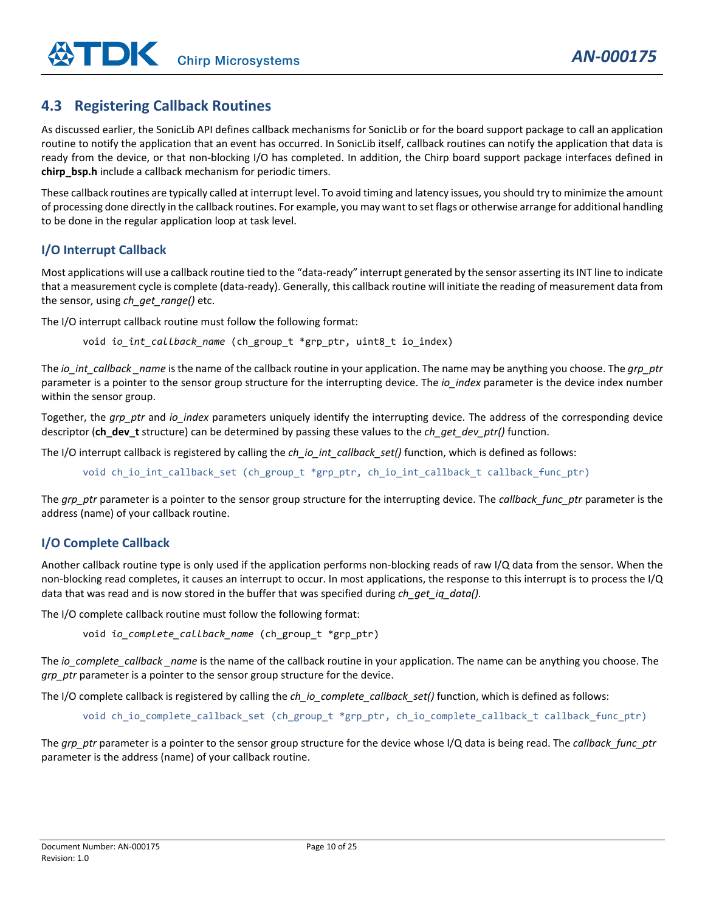# <span id="page-9-0"></span>**4.3 Registering Callback Routines**

As discussed earlier, the SonicLib API defines callback mechanisms for SonicLib or for the board support package to call an application routine to notify the application that an event has occurred. In SonicLib itself, callback routines can notify the application that data is ready from the device, or that non-blocking I/O has completed. In addition, the Chirp board support package interfaces defined in **chirp\_bsp.h** include a callback mechanism for periodic timers.

These callback routines are typically called at interrupt level. To avoid timing and latency issues, you should try to minimize the amount of processing done directly in the callback routines. For example, you may want to set flags or otherwise arrange for additional handling to be done in the regular application loop at task level.

#### **I/O Interrupt Callback**

Most applications will use a callback routine tied to the "data-ready" interrupt generated by the sensor asserting its INT line to indicate that a measurement cycle is complete (data-ready). Generally, this callback routine will initiate the reading of measurement data from the sensor, using *ch\_get\_range()* etc.

The I/O interrupt callback routine must follow the following format:

void *io\_int\_callback\_name* (ch\_group\_t \*grp\_ptr, uint8\_t io\_index)

The *io int* callback *name* is the name of the callback routine in your application. The name may be anything you choose. The *grp* ptr parameter is a pointer to the sensor group structure for the interrupting device. The *io index* parameter is the device index number within the sensor group.

Together, the *grp\_ptr* and *io\_index* parameters uniquely identify the interrupting device. The address of the corresponding device descriptor (**ch\_dev\_t** structure) can be determined by passing these values to the *ch\_get\_dev\_ptr()* function.

The I/O interrupt callback is registered by calling the *ch\_io\_int\_callback\_set()* function, which is defined as follows:

void ch\_io\_int\_callback\_set (ch\_group\_t \*grp\_ptr, ch\_io\_int\_callback\_t callback\_func\_ptr)

The *grp\_ptr* parameter is a pointer to the sensor group structure for the interrupting device. The *callback\_func\_ptr* parameter is the address (name) of your callback routine.

#### **I/O Complete Callback**

Another callback routine type is only used if the application performs non-blocking reads of raw I/Q data from the sensor. When the non-blocking read completes, it causes an interrupt to occur. In most applications, the response to this interrupt is to process the I/Q data that was read and is now stored in the buffer that was specified during *ch\_get\_iq\_data().*

The I/O complete callback routine must follow the following format:

void *io\_complete\_callback\_name* (ch\_group\_t \*grp\_ptr)

The *io\_complete\_callback \_name* is the name of the callback routine in your application. The name can be anything you choose. The *grp\_ptr* parameter is a pointer to the sensor group structure for the device.

The I/O complete callback is registered by calling the *ch\_io\_complete\_callback\_set()* function, which is defined as follows:

void ch\_io\_complete\_callback\_set (ch\_group\_t \*grp\_ptr, ch\_io\_complete\_callback\_t callback\_func\_ptr)

The *grp\_ptr* parameter is a pointer to the sensor group structure for the device whose I/Q data is being read. The *callback\_func\_ptr* parameter is the address (name) of your callback routine.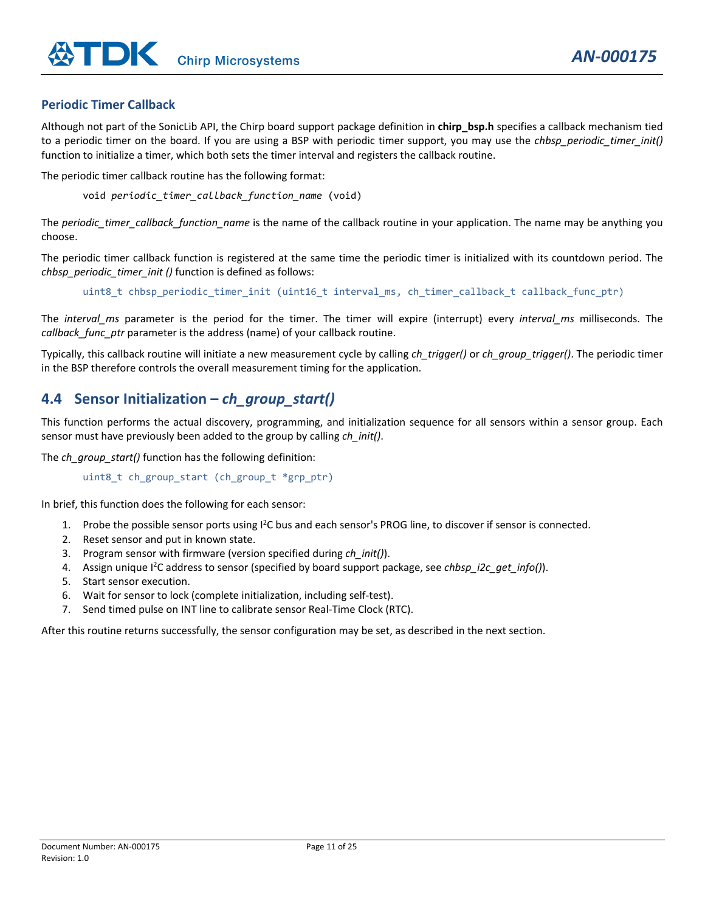#### **Periodic Timer Callback**

Although not part of the SonicLib API, the Chirp board support package definition in **chirp\_bsp.h** specifies a callback mechanism tied to a periodic timer on the board. If you are using a BSP with periodic timer support, you may use the *chbsp\_periodic\_timer\_init()* function to initialize a timer, which both sets the timer interval and registers the callback routine.

The periodic timer callback routine has the following format:

void *periodic\_timer\_callback\_function\_name* (void)

The *periodic* timer callback function name is the name of the callback routine in your application. The name may be anything you choose.

The periodic timer callback function is registered at the same time the periodic timer is initialized with its countdown period. The *chbsp\_periodic\_timer\_init ()* function is defined as follows:

uint8\_t chbsp\_periodic\_timer\_init (uint16\_t interval\_ms, ch\_timer\_callback\_t callback\_func\_ptr)

The *interval\_ms* parameter is the period for the timer. The timer will expire (interrupt) every *interval\_ms* milliseconds. The *callback\_func\_ptr* parameter is the address (name) of your callback routine.

Typically, this callback routine will initiate a new measurement cycle by calling *ch\_trigger()* or *ch\_group\_trigger()*. The periodic timer in the BSP therefore controls the overall measurement timing for the application.

# <span id="page-10-0"></span>**4.4 Sensor Initialization –** *ch\_group\_start()*

This function performs the actual discovery, programming, and initialization sequence for all sensors within a sensor group. Each sensor must have previously been added to the group by calling *ch\_init()*.

The *ch* group start() function has the following definition:

uint8\_t ch\_group\_start (ch\_group\_t \*grp\_ptr)

In brief, this function does the following for each sensor:

- 1. Probe the possible sensor ports using <sup>12</sup>C bus and each sensor's PROG line, to discover if sensor is connected.
- 2. Reset sensor and put in known state.
- 3. Program sensor with firmware (version specified during *ch\_init()*).
- 4. Assign unique <sup>12</sup>C address to sensor (specified by board support package, see *chbsp\_i2c\_get\_info()*).
- 5. Start sensor execution.
- 6. Wait for sensor to lock (complete initialization, including self-test).
- 7. Send timed pulse on INT line to calibrate sensor Real-Time Clock (RTC).

After this routine returns successfully, the sensor configuration may be set, as described in the next section.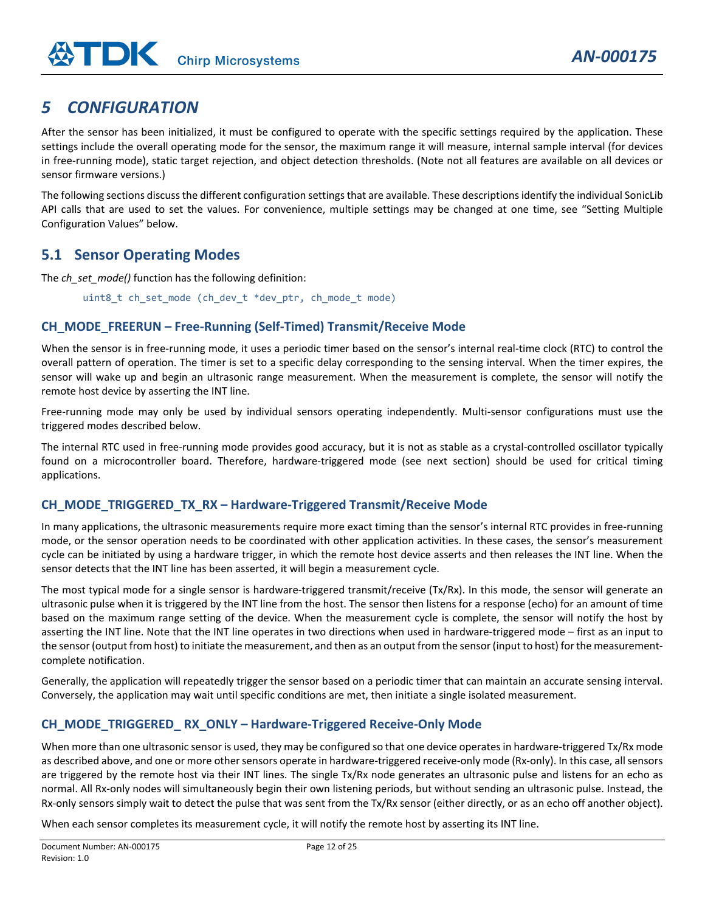# <span id="page-11-0"></span>*5 CONFIGURATION*

After the sensor has been initialized, it must be configured to operate with the specific settings required by the application. These settings include the overall operating mode for the sensor, the maximum range it will measure, internal sample interval (for devices in free-running mode), static target rejection, and object detection thresholds. (Note not all features are available on all devices or sensor firmware versions.)

The following sections discuss the different configuration settings that are available. These descriptions identify the individual SonicLib API calls that are used to set the values. For convenience, multiple settings may be changed at one time, see "Setting Multiple Configuration Values" below.

# <span id="page-11-1"></span>**5.1 Sensor Operating Modes**

The *ch* set mode() function has the following definition:

uint8\_t ch\_set\_mode (ch\_dev\_t \*dev\_ptr, ch\_mode\_t mode)

## **CH\_MODE\_FREERUN – Free-Running (Self-Timed) Transmit/Receive Mode**

When the sensor is in free-running mode, it uses a periodic timer based on the sensor's internal real-time clock (RTC) to control the overall pattern of operation. The timer is set to a specific delay corresponding to the sensing interval. When the timer expires, the sensor will wake up and begin an ultrasonic range measurement. When the measurement is complete, the sensor will notify the remote host device by asserting the INT line.

Free-running mode may only be used by individual sensors operating independently. Multi-sensor configurations must use the triggered modes described below.

The internal RTC used in free-running mode provides good accuracy, but it is not as stable as a crystal-controlled oscillator typically found on a microcontroller board. Therefore, hardware-triggered mode (see next section) should be used for critical timing applications.

## **CH\_MODE\_TRIGGERED\_TX\_RX – Hardware-Triggered Transmit/Receive Mode**

In many applications, the ultrasonic measurements require more exact timing than the sensor's internal RTC provides in free-running mode, or the sensor operation needs to be coordinated with other application activities. In these cases, the sensor's measurement cycle can be initiated by using a hardware trigger, in which the remote host device asserts and then releases the INT line. When the sensor detects that the INT line has been asserted, it will begin a measurement cycle.

The most typical mode for a single sensor is hardware-triggered transmit/receive (Tx/Rx). In this mode, the sensor will generate an ultrasonic pulse when it is triggered by the INT line from the host. The sensor then listens for a response (echo) for an amount of time based on the maximum range setting of the device. When the measurement cycle is complete, the sensor will notify the host by asserting the INT line. Note that the INT line operates in two directions when used in hardware-triggered mode – first as an input to the sensor (output from host) to initiate the measurement, and then as an output from the sensor (input to host) for the measurementcomplete notification.

Generally, the application will repeatedly trigger the sensor based on a periodic timer that can maintain an accurate sensing interval. Conversely, the application may wait until specific conditions are met, then initiate a single isolated measurement.

# **CH\_MODE\_TRIGGERED\_ RX\_ONLY – Hardware-Triggered Receive-Only Mode**

When more than one ultrasonic sensor is used, they may be configured so that one device operates in hardware-triggered Tx/Rx mode as described above, and one or more other sensors operate in hardware-triggered receive-only mode (Rx-only). In this case, all sensors are triggered by the remote host via their INT lines. The single Tx/Rx node generates an ultrasonic pulse and listens for an echo as normal. All Rx-only nodes will simultaneously begin their own listening periods, but without sending an ultrasonic pulse. Instead, the Rx-only sensors simply wait to detect the pulse that was sent from the Tx/Rx sensor (either directly, or as an echo off another object).

When each sensor completes its measurement cycle, it will notify the remote host by asserting its INT line.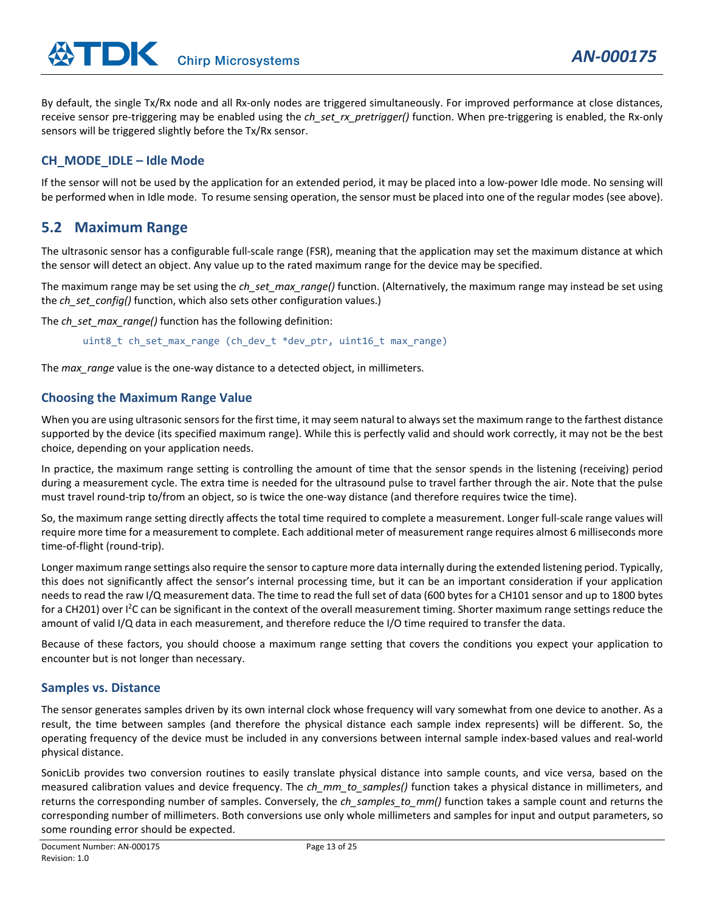By default, the single Tx/Rx node and all Rx-only nodes are triggered simultaneously. For improved performance at close distances, receive sensor pre-triggering may be enabled using the *ch\_set\_rx\_pretrigger()* function. When pre-triggering is enabled, the Rx-only sensors will be triggered slightly before the Tx/Rx sensor.

*AN-000175*

#### **CH\_MODE\_IDLE – Idle Mode**

If the sensor will not be used by the application for an extended period, it may be placed into a low-power Idle mode. No sensing will be performed when in Idle mode. To resume sensing operation, the sensor must be placed into one of the regular modes (see above).

# <span id="page-12-0"></span>**5.2 Maximum Range**

The ultrasonic sensor has a configurable full-scale range (FSR), meaning that the application may set the maximum distance at which the sensor will detect an object. Any value up to the rated maximum range for the device may be specified.

The maximum range may be set using the *ch\_set\_max\_range()* function. (Alternatively, the maximum range may instead be set using the *ch* set config() function, which also sets other configuration values.)

The *ch* set max range() function has the following definition:

uint8\_t ch\_set\_max\_range (ch\_dev\_t \*dev\_ptr, uint16\_t max\_range)

The *max* range value is the one-way distance to a detected object, in millimeters.

#### **Choosing the Maximum Range Value**

When you are using ultrasonic sensors for the first time, it may seem natural to always set the maximum range to the farthest distance supported by the device (its specified maximum range). While this is perfectly valid and should work correctly, it may not be the best choice, depending on your application needs.

In practice, the maximum range setting is controlling the amount of time that the sensor spends in the listening (receiving) period during a measurement cycle. The extra time is needed for the ultrasound pulse to travel farther through the air. Note that the pulse must travel round-trip to/from an object, so is twice the one-way distance (and therefore requires twice the time).

So, the maximum range setting directly affects the total time required to complete a measurement. Longer full-scale range values will require more time for a measurement to complete. Each additional meter of measurement range requires almost 6 milliseconds more time-of-flight (round-trip).

Longer maximum range settings also require the sensor to capture more data internally during the extended listening period. Typically, this does not significantly affect the sensor's internal processing time, but it can be an important consideration if your application needs to read the raw I/Q measurement data. The time to read the full set of data (600 bytes for a CH101 sensor and up to 1800 bytes for a CH201) over I<sup>2</sup>C can be significant in the context of the overall measurement timing. Shorter maximum range settings reduce the amount of valid I/Q data in each measurement, and therefore reduce the I/O time required to transfer the data.

Because of these factors, you should choose a maximum range setting that covers the conditions you expect your application to encounter but is not longer than necessary.

#### **Samples vs. Distance**

The sensor generates samples driven by its own internal clock whose frequency will vary somewhat from one device to another. As a result, the time between samples (and therefore the physical distance each sample index represents) will be different. So, the operating frequency of the device must be included in any conversions between internal sample index-based values and real-world physical distance.

SonicLib provides two conversion routines to easily translate physical distance into sample counts, and vice versa, based on the measured calibration values and device frequency. The *ch\_mm\_to\_samples()* function takes a physical distance in millimeters, and returns the corresponding number of samples. Conversely, the *ch\_samples\_to\_mm()* function takes a sample count and returns the corresponding number of millimeters. Both conversions use only whole millimeters and samples for input and output parameters, so some rounding error should be expected.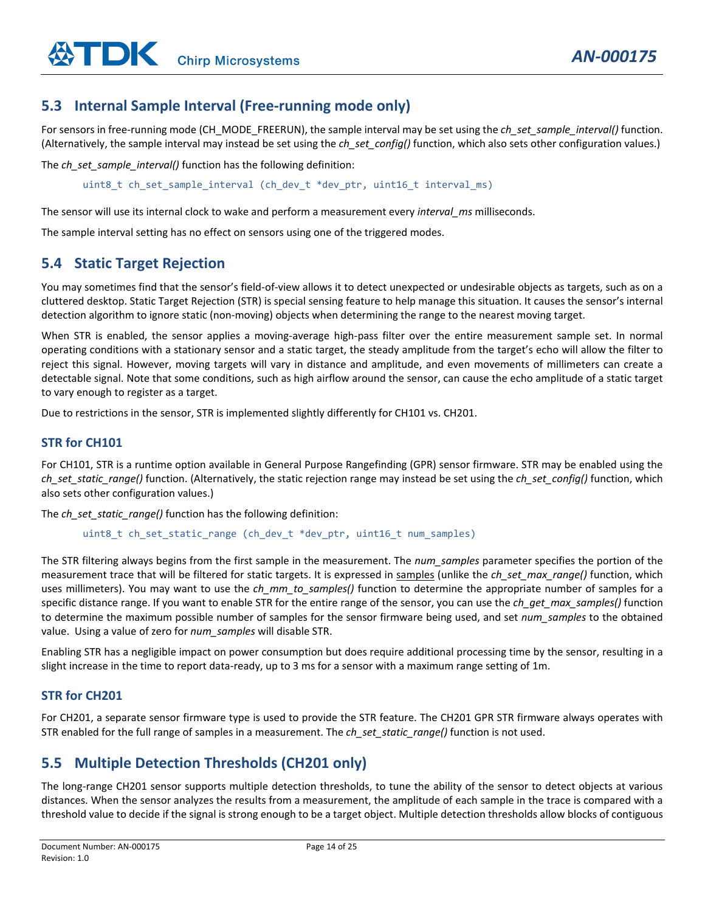# <span id="page-13-0"></span>**5.3 Internal Sample Interval (Free-running mode only)**

For sensors in free-running mode (CH\_MODE\_FREERUN), the sample interval may be set using the *ch\_set\_sample\_interval()* function. (Alternatively, the sample interval may instead be set using the *ch\_set\_config()* function, which also sets other configuration values.)

The *ch\_set\_sample\_interval()* function has the following definition:

uint8\_t ch\_set\_sample\_interval (ch\_dev\_t \*dev\_ptr, uint16\_t interval\_ms)

The sensor will use its internal clock to wake and perform a measurement every *interval\_ms* milliseconds.

The sample interval setting has no effect on sensors using one of the triggered modes.

# <span id="page-13-1"></span>**5.4 Static Target Rejection**

You may sometimes find that the sensor's field-of-view allows it to detect unexpected or undesirable objects as targets, such as on a cluttered desktop. Static Target Rejection (STR) is special sensing feature to help manage this situation. It causes the sensor's internal detection algorithm to ignore static (non-moving) objects when determining the range to the nearest moving target.

When STR is enabled, the sensor applies a moving-average high-pass filter over the entire measurement sample set. In normal operating conditions with a stationary sensor and a static target, the steady amplitude from the target's echo will allow the filter to reject this signal. However, moving targets will vary in distance and amplitude, and even movements of millimeters can create a detectable signal. Note that some conditions, such as high airflow around the sensor, can cause the echo amplitude of a static target to vary enough to register as a target.

Due to restrictions in the sensor, STR is implemented slightly differently for CH101 vs. CH201.

#### **STR for CH101**

For CH101, STR is a runtime option available in General Purpose Rangefinding (GPR) sensor firmware. STR may be enabled using the *ch\_set\_static\_range()* function. (Alternatively, the static rejection range may instead be set using the *ch\_set\_config()* function, which also sets other configuration values.)

The *ch* set static range() function has the following definition:

uint8\_t ch\_set\_static\_range (ch\_dev\_t \*dev\_ptr, uint16\_t num\_samples)

The STR filtering always begins from the first sample in the measurement. The *num\_samples* parameter specifies the portion of the measurement trace that will be filtered for static targets. It is expressed in samples (unlike the *ch\_set\_max\_range()* function, which uses millimeters). You may want to use the *ch\_mm\_to\_samples()* function to determine the appropriate number of samples for a specific distance range. If you want to enable STR for the entire range of the sensor, you can use the *ch\_get\_max\_samples()* function to determine the maximum possible number of samples for the sensor firmware being used, and set *num\_samples* to the obtained value. Using a value of zero for *num\_samples* will disable STR.

Enabling STR has a negligible impact on power consumption but does require additional processing time by the sensor, resulting in a slight increase in the time to report data-ready, up to 3 ms for a sensor with a maximum range setting of 1m.

#### **STR for CH201**

For CH201, a separate sensor firmware type is used to provide the STR feature. The CH201 GPR STR firmware always operates with STR enabled for the full range of samples in a measurement. The *ch\_set\_static\_range()* function is not used.

# <span id="page-13-2"></span>**5.5 Multiple Detection Thresholds (CH201 only)**

The long-range CH201 sensor supports multiple detection thresholds, to tune the ability of the sensor to detect objects at various distances. When the sensor analyzes the results from a measurement, the amplitude of each sample in the trace is compared with a threshold value to decide if the signal is strong enough to be a target object. Multiple detection thresholds allow blocks of contiguous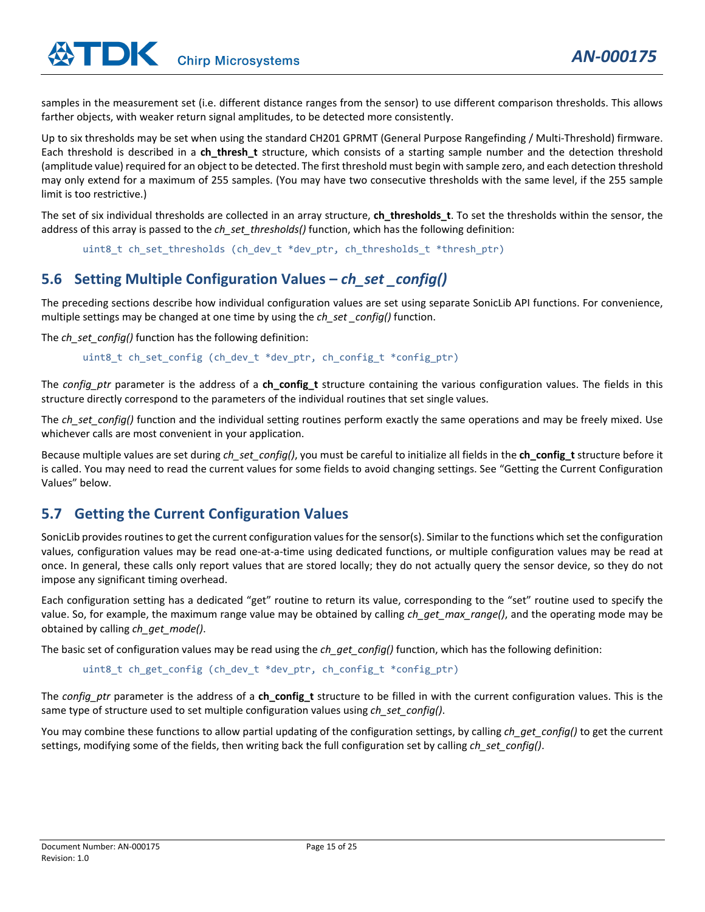samples in the measurement set (i.e. different distance ranges from the sensor) to use different comparison thresholds. This allows farther objects, with weaker return signal amplitudes, to be detected more consistently.

Up to six thresholds may be set when using the standard CH201 GPRMT (General Purpose Rangefinding / Multi-Threshold) firmware. Each threshold is described in a **ch\_thresh\_t** structure, which consists of a starting sample number and the detection threshold (amplitude value) required for an object to be detected. The first threshold must begin with sample zero, and each detection threshold may only extend for a maximum of 255 samples. (You may have two consecutive thresholds with the same level, if the 255 sample limit is too restrictive.)

The set of six individual thresholds are collected in an array structure, **ch\_thresholds\_t**. To set the thresholds within the sensor, the address of this array is passed to the *ch* set\_thresholds() function, which has the following definition:

uint8 t ch set thresholds (ch dev t \*dev ptr, ch thresholds t \*thresh ptr)

# <span id="page-14-0"></span>**5.6 Setting Multiple Configuration Values –** *ch\_set \_config()*

The preceding sections describe how individual configuration values are set using separate SonicLib API functions. For convenience, multiple settings may be changed at one time by using the *ch\_set \_config()* function.

The *ch\_set\_config()* function has the following definition:

uint8\_t ch\_set\_config (ch\_dev\_t \*dev\_ptr, ch\_config\_t \*config\_ptr)

The *config\_ptr* parameter is the address of a **ch\_config\_t** structure containing the various configuration values. The fields in this structure directly correspond to the parameters of the individual routines that set single values.

The *ch* set config() function and the individual setting routines perform exactly the same operations and may be freely mixed. Use whichever calls are most convenient in your application.

Because multiple values are set during *ch\_set\_config()*, you must be careful to initialize all fields in the **ch\_config\_t** structure before it is called. You may need to read the current values for some fields to avoid changing settings. See "Getting the Current Configuration Values" below.

# <span id="page-14-1"></span>**5.7 Getting the Current Configuration Values**

SonicLib provides routines to get the current configuration values for the sensor(s). Similar to the functions which set the configuration values, configuration values may be read one-at-a-time using dedicated functions, or multiple configuration values may be read at once. In general, these calls only report values that are stored locally; they do not actually query the sensor device, so they do not impose any significant timing overhead.

Each configuration setting has a dedicated "get" routine to return its value, corresponding to the "set" routine used to specify the value. So, for example, the maximum range value may be obtained by calling *ch\_get\_max\_range()*, and the operating mode may be obtained by calling *ch\_get\_mode()*.

The basic set of configuration values may be read using the *ch* get config() function, which has the following definition:

```
uint8_t ch_get_config (ch_dev_t *dev_ptr, ch_config_t *config_ptr)
```
The *config\_ptr* parameter is the address of a **ch\_config\_t** structure to be filled in with the current configuration values. This is the same type of structure used to set multiple configuration values using *ch\_set\_config()*.

You may combine these functions to allow partial updating of the configuration settings, by calling *ch\_get\_config()* to get the current settings, modifying some of the fields, then writing back the full configuration set by calling *ch\_set\_config()*.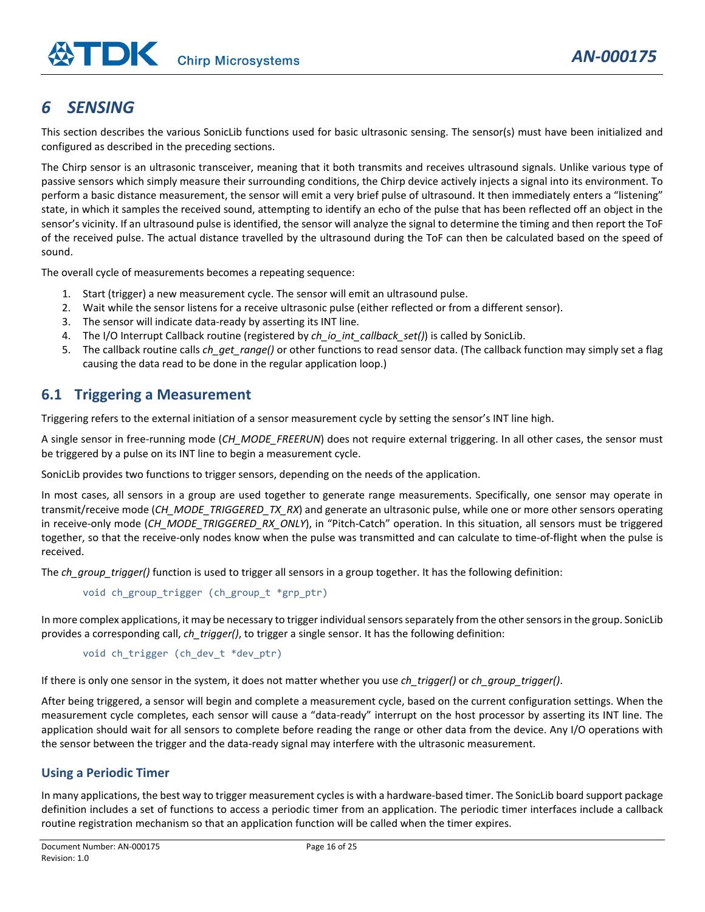# <span id="page-15-0"></span>*6 SENSING*

This section describes the various SonicLib functions used for basic ultrasonic sensing. The sensor(s) must have been initialized and configured as described in the preceding sections.

The Chirp sensor is an ultrasonic transceiver, meaning that it both transmits and receives ultrasound signals. Unlike various type of passive sensors which simply measure their surrounding conditions, the Chirp device actively injects a signal into its environment. To perform a basic distance measurement, the sensor will emit a very brief pulse of ultrasound. It then immediately enters a "listening" state, in which it samples the received sound, attempting to identify an echo of the pulse that has been reflected off an object in the sensor's vicinity. If an ultrasound pulse is identified, the sensor will analyze the signal to determine the timing and then report the ToF of the received pulse. The actual distance travelled by the ultrasound during the ToF can then be calculated based on the speed of sound.

The overall cycle of measurements becomes a repeating sequence:

- 1. Start (trigger) a new measurement cycle. The sensor will emit an ultrasound pulse.
- 2. Wait while the sensor listens for a receive ultrasonic pulse (either reflected or from a different sensor).
- 3. The sensor will indicate data-ready by asserting its INT line.
- 4. The I/O Interrupt Callback routine (registered by *ch\_io\_int\_callback\_set()*) is called by SonicLib.
- 5. The callback routine calls *ch get range()* or other functions to read sensor data. (The callback function may simply set a flag causing the data read to be done in the regular application loop.)

# <span id="page-15-1"></span>**6.1 Triggering a Measurement**

Triggering refers to the external initiation of a sensor measurement cycle by setting the sensor's INT line high.

A single sensor in free-running mode (*CH\_MODE\_FREERUN*) does not require external triggering. In all other cases, the sensor must be triggered by a pulse on its INT line to begin a measurement cycle.

SonicLib provides two functions to trigger sensors, depending on the needs of the application.

In most cases, all sensors in a group are used together to generate range measurements. Specifically, one sensor may operate in transmit/receive mode (*CH\_MODE\_TRIGGERED\_TX\_RX*) and generate an ultrasonic pulse, while one or more other sensors operating in receive-only mode (CH\_MODE\_TRIGGERED\_RX\_ONLY), in "Pitch-Catch" operation. In this situation, all sensors must be triggered together, so that the receive-only nodes know when the pulse was transmitted and can calculate to time-of-flight when the pulse is received.

The *ch\_group\_trigger()* function is used to trigger all sensors in a group together. It has the following definition:

```
void ch_group_trigger (ch_group_t *grp_ptr)
```
In more complex applications, it may be necessary to trigger individual sensors separately from the other sensors in the group. SonicLib provides a corresponding call, *ch\_trigger()*, to trigger a single sensor. It has the following definition:

```
void ch trigger (ch dev t *dev ptr)
```
If there is only one sensor in the system, it does not matter whether you use *ch\_trigger()* or *ch\_group\_trigger()*.

After being triggered, a sensor will begin and complete a measurement cycle, based on the current configuration settings. When the measurement cycle completes, each sensor will cause a "data-ready" interrupt on the host processor by asserting its INT line. The application should wait for all sensors to complete before reading the range or other data from the device. Any I/O operations with the sensor between the trigger and the data-ready signal may interfere with the ultrasonic measurement.

#### **Using a Periodic Timer**

In many applications, the best way to trigger measurement cycles is with a hardware-based timer. The SonicLib board support package definition includes a set of functions to access a periodic timer from an application. The periodic timer interfaces include a callback routine registration mechanism so that an application function will be called when the timer expires.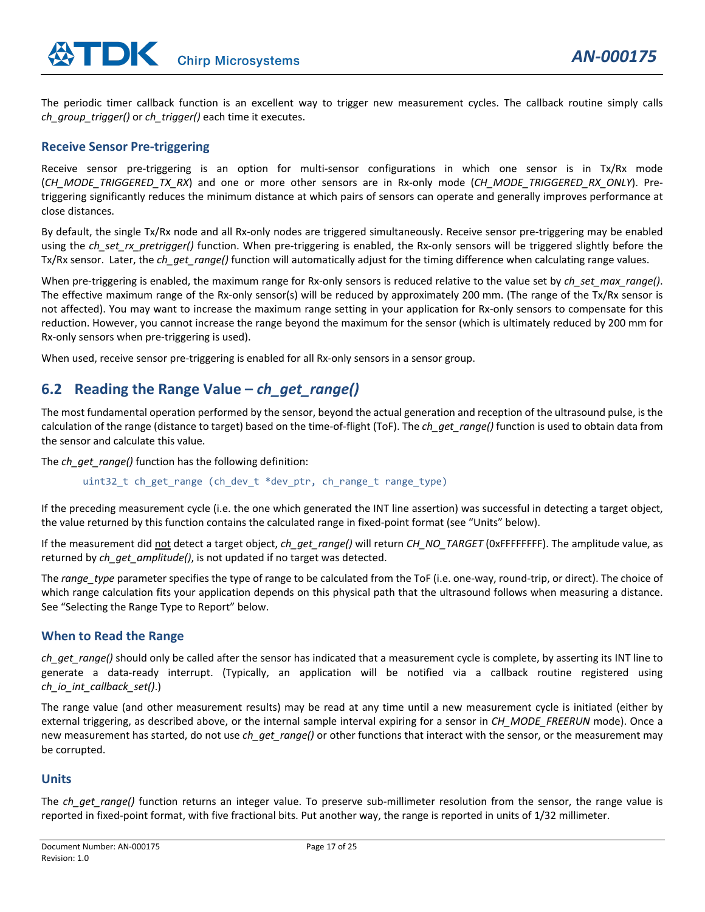The periodic timer callback function is an excellent way to trigger new measurement cycles. The callback routine simply calls *ch\_group\_trigger()* or *ch\_trigger()* each time it executes.

#### **Receive Sensor Pre-triggering**

Receive sensor pre-triggering is an option for multi-sensor configurations in which one sensor is in Tx/Rx mode (*CH\_MODE\_TRIGGERED\_TX\_RX*) and one or more other sensors are in Rx-only mode (*CH\_MODE\_TRIGGERED\_RX\_ONLY*). Pretriggering significantly reduces the minimum distance at which pairs of sensors can operate and generally improves performance at close distances.

By default, the single Tx/Rx node and all Rx-only nodes are triggered simultaneously. Receive sensor pre-triggering may be enabled using the *ch* set rx pretrigger() function. When pre-triggering is enabled, the Rx-only sensors will be triggered slightly before the Tx/Rx sensor. Later, the *ch get range()* function will automatically adjust for the timing difference when calculating range values.

When pre-triggering is enabled, the maximum range for Rx-only sensors is reduced relative to the value set by *ch* set max range(). The effective maximum range of the Rx-only sensor(s) will be reduced by approximately 200 mm. (The range of the Tx/Rx sensor is not affected). You may want to increase the maximum range setting in your application for Rx-only sensors to compensate for this reduction. However, you cannot increase the range beyond the maximum for the sensor (which is ultimately reduced by 200 mm for Rx-only sensors when pre-triggering is used).

When used, receive sensor pre-triggering is enabled for all Rx-only sensors in a sensor group.

# <span id="page-16-0"></span>**6.2 Reading the Range Value –** *ch\_get\_range()*

The most fundamental operation performed by the sensor, beyond the actual generation and reception of the ultrasound pulse, is the calculation of the range (distance to target) based on the time-of-flight (ToF). The *ch\_get\_range()* function is used to obtain data from the sensor and calculate this value.

The *ch\_get\_range()* function has the following definition:

uint32\_t ch\_get\_range (ch\_dev\_t \*dev\_ptr, ch\_range\_t range\_type)

If the preceding measurement cycle (i.e. the one which generated the INT line assertion) was successful in detecting a target object, the value returned by this function contains the calculated range in fixed-point format (see "Units" below).

If the measurement did not detect a target object, *ch\_get\_range()* will return *CH\_NO\_TARGET* (0xFFFFFFFF). The amplitude value, as returned by *ch\_get\_amplitude()*, is not updated if no target was detected.

The *range\_type* parameter specifies the type of range to be calculated from the ToF (i.e. one-way, round-trip, or direct). The choice of which range calculation fits your application depends on this physical path that the ultrasound follows when measuring a distance. See "Selecting the Range Type to Report" below.

#### **When to Read the Range**

*ch\_get\_range()* should only be called after the sensor has indicated that a measurement cycle is complete, by asserting its INT line to generate a data-ready interrupt. (Typically, an application will be notified via a callback routine registered using *ch\_io\_int\_callback\_set()*.)

The range value (and other measurement results) may be read at any time until a new measurement cycle is initiated (either by external triggering, as described above, or the internal sample interval expiring for a sensor in *CH\_MODE\_FREERUN* mode). Once a new measurement has started, do not use *ch\_get\_range()* or other functions that interact with the sensor, or the measurement may be corrupted.

#### **Units**

The *ch* get range() function returns an integer value. To preserve sub-millimeter resolution from the sensor, the range value is reported in fixed-point format, with five fractional bits. Put another way, the range is reported in units of 1/32 millimeter.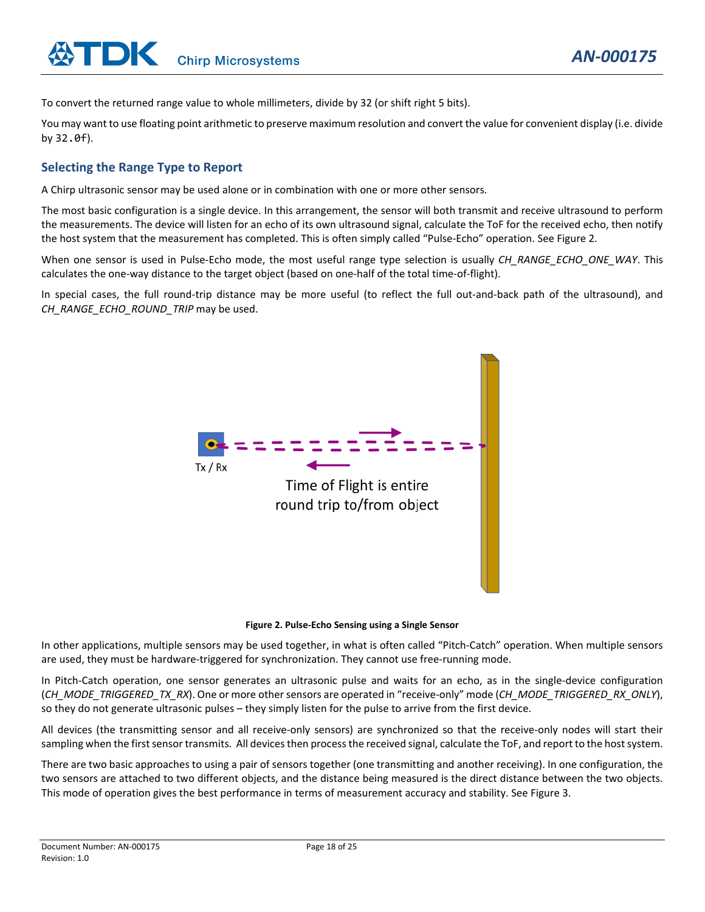To convert the returned range value to whole millimeters, divide by 32 (or shift right 5 bits).

You may want to use floating point arithmetic to preserve maximum resolution and convert the value for convenient display (i.e. divide by 32.0f).

#### **Selecting the Range Type to Report**

A Chirp ultrasonic sensor may be used alone or in combination with one or more other sensors.

The most basic configuration is a single device. In this arrangement, the sensor will both transmit and receive ultrasound to perform the measurements. The device will listen for an echo of its own ultrasound signal, calculate the ToF for the received echo, then notify the host system that the measurement has completed. This is often simply called "Pulse-Echo" operation. See [Figure 2.](#page-17-0)

When one sensor is used in Pulse-Echo mode, the most useful range type selection is usually *CH\_RANGE\_ECHO\_ONE\_WAY*. This calculates the one-way distance to the target object (based on one-half of the total time-of-flight).

In special cases, the full round-trip distance may be more useful (to reflect the full out-and-back path of the ultrasound), and *CH\_RANGE\_ECHO\_ROUND\_TRIP* may be used.



#### **Figure 2. Pulse-Echo Sensing using a Single Sensor**

<span id="page-17-0"></span>In other applications, multiple sensors may be used together, in what is often called "Pitch-Catch" operation. When multiple sensors are used, they must be hardware-triggered for synchronization. They cannot use free-running mode.

In Pitch-Catch operation, one sensor generates an ultrasonic pulse and waits for an echo, as in the single-device configuration (*CH\_MODE\_TRIGGERED\_TX\_RX*). One or more other sensors are operated in "receive-only" mode (*CH\_MODE\_TRIGGERED\_RX\_ONLY*), so they do not generate ultrasonic pulses – they simply listen for the pulse to arrive from the first device.

All devices (the transmitting sensor and all receive-only sensors) are synchronized so that the receive-only nodes will start their sampling when the first sensor transmits. All devices then process the received signal, calculate the ToF, and report to the host system.

There are two basic approaches to using a pair of sensors together (one transmitting and another receiving). In one configuration, the two sensors are attached to two different objects, and the distance being measured is the direct distance between the two objects. This mode of operation gives the best performance in terms of measurement accuracy and stability. See [Figure 3.](#page-18-0)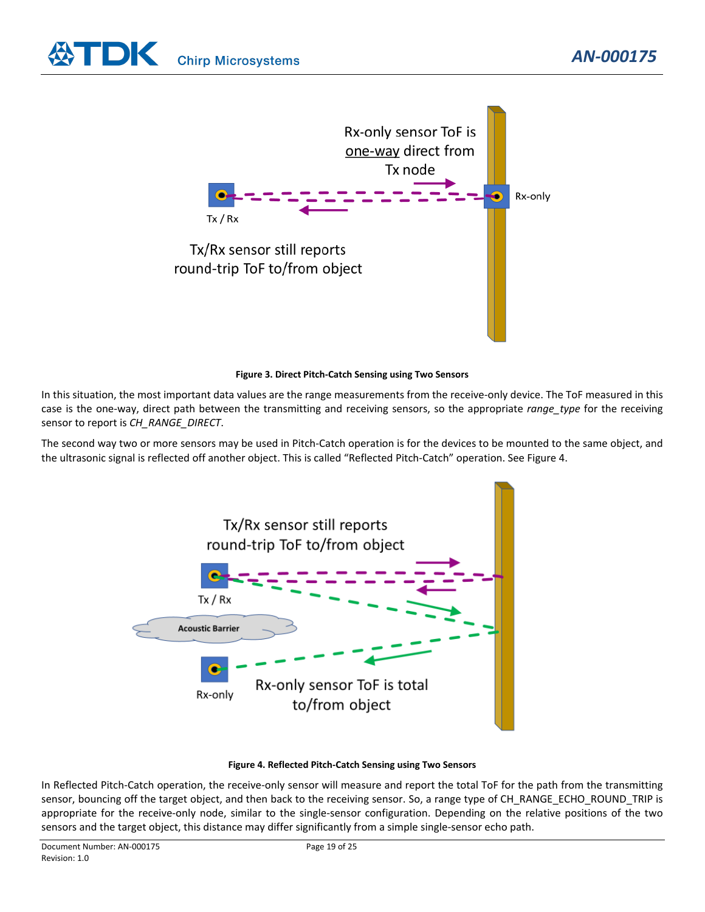



#### **Figure 3. Direct Pitch-Catch Sensing using Two Sensors**

<span id="page-18-0"></span>In this situation, the most important data values are the range measurements from the receive-only device. The ToF measured in this case is the one-way, direct path between the transmitting and receiving sensors, so the appropriate *range\_type* for the receiving sensor to report is *CH\_RANGE\_DIRECT*.

The second way two or more sensors may be used in Pitch-Catch operation is for the devices to be mounted to the same object, and the ultrasonic signal is reflected off another object. This is called "Reflected Pitch-Catch" operation. See [Figure 4.](#page-18-1)



#### **Figure 4. Reflected Pitch-Catch Sensing using Two Sensors**

<span id="page-18-1"></span>In Reflected Pitch-Catch operation, the receive-only sensor will measure and report the total ToF for the path from the transmitting sensor, bouncing off the target object, and then back to the receiving sensor. So, a range type of CH\_RANGE\_ECHO\_ROUND\_TRIP is appropriate for the receive-only node, similar to the single-sensor configuration. Depending on the relative positions of the two sensors and the target object, this distance may differ significantly from a simple single-sensor echo path.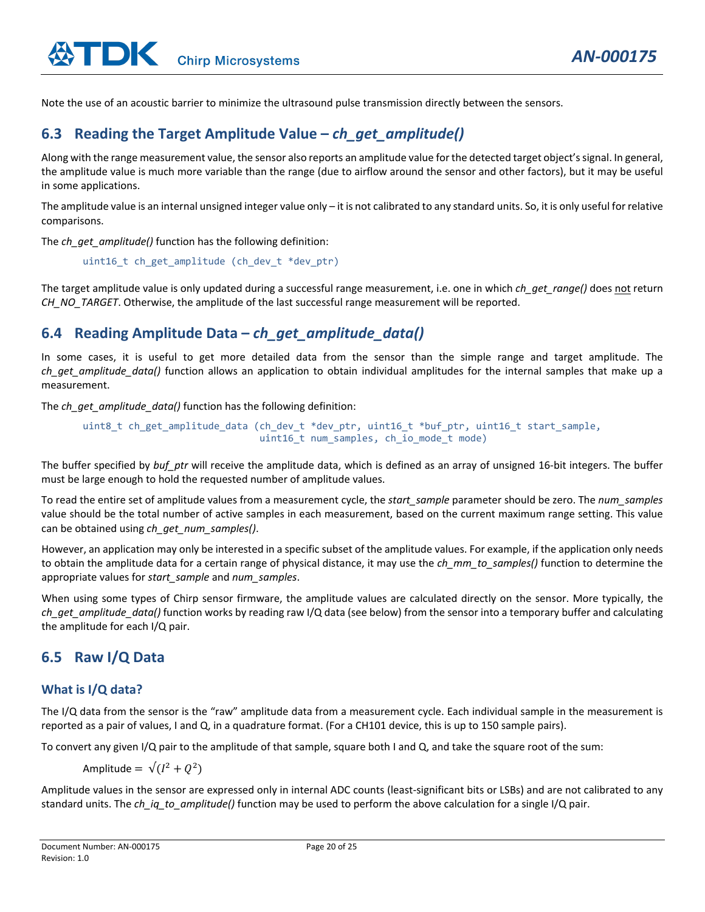Note the use of an acoustic barrier to minimize the ultrasound pulse transmission directly between the sensors.

# <span id="page-19-0"></span>**6.3 Reading the Target Amplitude Value –** *ch\_get\_amplitude()*

Along with the range measurement value, the sensor also reports an amplitude value for the detected target object's signal. In general, the amplitude value is much more variable than the range (due to airflow around the sensor and other factors), but it may be useful in some applications.

The amplitude value is an internal unsigned integer value only – it is not calibrated to any standard units. So, it is only useful for relative comparisons.

The *ch\_get\_amplitude()* function has the following definition:

uint16 t ch get amplitude (ch dev t \*dev ptr)

The target amplitude value is only updated during a successful range measurement, i.e. one in which *ch\_get\_range()* does not return *CH\_NO\_TARGET*. Otherwise, the amplitude of the last successful range measurement will be reported.

# <span id="page-19-1"></span>**6.4 Reading Amplitude Data –** *ch\_get\_amplitude\_data()*

In some cases, it is useful to get more detailed data from the sensor than the simple range and target amplitude. The *ch\_get\_amplitude\_data()* function allows an application to obtain individual amplitudes for the internal samples that make up a measurement.

The *ch\_get\_amplitude\_data()* function has the following definition:

```
uint8 t ch get amplitude data (ch dev t *dev ptr, uint16 t *buf ptr, uint16 t start sample,
                   uint16 t num samples, ch io mode t mode)
```
The buffer specified by *buf ptr* will receive the amplitude data, which is defined as an array of unsigned 16-bit integers. The buffer must be large enough to hold the requested number of amplitude values.

To read the entire set of amplitude values from a measurement cycle, the *start\_sample* parameter should be zero. The *num\_samples* value should be the total number of active samples in each measurement, based on the current maximum range setting. This value can be obtained using *ch\_get\_num\_samples()*.

However, an application may only be interested in a specific subset of the amplitude values. For example, if the application only needs to obtain the amplitude data for a certain range of physical distance, it may use the *ch\_mm\_to\_samples()* function to determine the appropriate values for *start\_sample* and *num\_samples*.

When using some types of Chirp sensor firmware, the amplitude values are calculated directly on the sensor. More typically, the *ch\_get\_amplitude\_data()* function works by reading raw I/Q data (see below) from the sensor into a temporary buffer and calculating the amplitude for each I/Q pair.

# <span id="page-19-2"></span>**6.5 Raw I/Q Data**

## **What is I/Q data?**

The I/Q data from the sensor is the "raw" amplitude data from a measurement cycle. Each individual sample in the measurement is reported as a pair of values, I and Q, in a quadrature format. (For a CH101 device, this is up to 150 sample pairs).

To convert any given I/Q pair to the amplitude of that sample, square both I and Q, and take the square root of the sum:

Amplitude =  $\sqrt{(I^2 + O^2)}$ 

Amplitude values in the sensor are expressed only in internal ADC counts (least-significant bits or LSBs) and are not calibrated to any standard units. The *ch\_iq\_to\_amplitude()* function may be used to perform the above calculation for a single I/Q pair.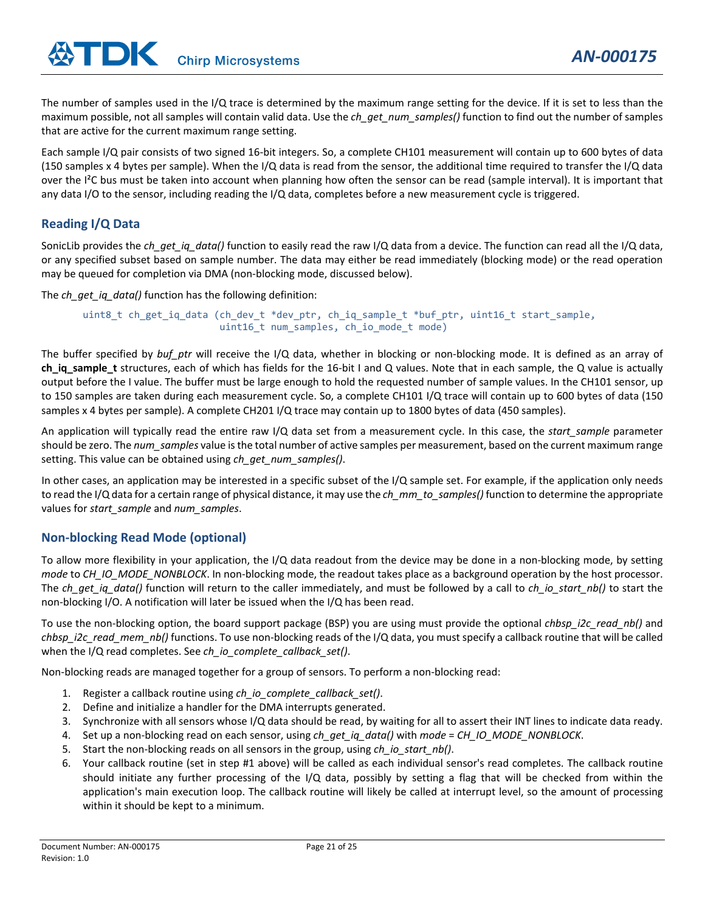The number of samples used in the I/Q trace is determined by the maximum range setting for the device. If it is set to less than the maximum possible, not all samples will contain valid data. Use the *ch\_get\_num\_samples()* function to find out the number of samples that are active for the current maximum range setting.

Each sample I/Q pair consists of two signed 16-bit integers. So, a complete CH101 measurement will contain up to 600 bytes of data (150 samples x 4 bytes per sample). When the I/Q data is read from the sensor, the additional time required to transfer the I/Q data over the I²C bus must be taken into account when planning how often the sensor can be read (sample interval). It is important that any data I/O to the sensor, including reading the I/Q data, completes before a new measurement cycle is triggered.

#### **Reading I/Q Data**

SonicLib provides the *ch* get ig data() function to easily read the raw I/Q data from a device. The function can read all the I/Q data, or any specified subset based on sample number. The data may either be read immediately (blocking mode) or the read operation may be queued for completion via DMA (non-blocking mode, discussed below).

The *ch\_get\_iq\_data()* function has the following definition:

```
uint8_t ch_get_iq_data (ch_dev_t *dev_ptr, ch_iq_sample_t *buf_ptr, uint16_t start_sample, 
             uint16_t num_samples, ch_io_mode_t mode)
```
The buffer specified by *buf\_ptr* will receive the I/Q data, whether in blocking or non-blocking mode. It is defined as an array of **ch\_iq\_sample\_t** structures, each of which has fields for the 16-bit I and Q values. Note that in each sample, the Q value is actually output before the I value. The buffer must be large enough to hold the requested number of sample values. In the CH101 sensor, up to 150 samples are taken during each measurement cycle. So, a complete CH101 I/Q trace will contain up to 600 bytes of data (150 samples x 4 bytes per sample). A complete CH201 I/Q trace may contain up to 1800 bytes of data (450 samples).

An application will typically read the entire raw I/Q data set from a measurement cycle. In this case, the *start\_sample* parameter should be zero. The *num\_samples* value is the total number of active samples per measurement, based on the current maximum range setting. This value can be obtained using *ch\_get\_num\_samples()*.

In other cases, an application may be interested in a specific subset of the I/Q sample set. For example, if the application only needs to read the I/Q data for a certain range of physical distance, it may use the *ch\_mm\_to\_samples()* function to determine the appropriate values for *start\_sample* and *num\_samples*.

## **Non-blocking Read Mode (optional)**

To allow more flexibility in your application, the I/Q data readout from the device may be done in a non-blocking mode, by setting *mode* to *CH\_IO\_MODE\_NONBLOCK*. In non-blocking mode, the readout takes place as a background operation by the host processor. The *ch\_get\_iq\_data()* function will return to the caller immediately, and must be followed by a call to *ch\_io\_start\_nb()* to start the non-blocking I/O. A notification will later be issued when the I/Q has been read.

To use the non-blocking option, the board support package (BSP) you are using must provide the optional *chbsp\_i2c\_read\_nb()* and *chbsp\_i2c\_read\_mem\_nb()* functions. To use non-blocking reads of the I/Q data, you must specify a callback routine that will be called when the I/Q read completes. See *ch\_io\_complete\_callback\_set()*.

Non-blocking reads are managed together for a group of sensors. To perform a non-blocking read:

- 1. Register a callback routine using *ch\_io\_complete\_callback\_set()*.
- 2. Define and initialize a handler for the DMA interrupts generated.
- 3. Synchronize with all sensors whose I/Q data should be read, by waiting for all to assert their INT lines to indicate data ready.
- 4. Set up a non-blocking read on each sensor, using *ch\_get\_iq\_data()* with *mode* = *CH\_IO\_MODE\_NONBLOCK*.
- 5. Start the non-blocking reads on all sensors in the group, using *ch\_io\_start\_nb()*.
- 6. Your callback routine (set in step #1 above) will be called as each individual sensor's read completes. The callback routine should initiate any further processing of the I/Q data, possibly by setting a flag that will be checked from within the application's main execution loop. The callback routine will likely be called at interrupt level, so the amount of processing within it should be kept to a minimum.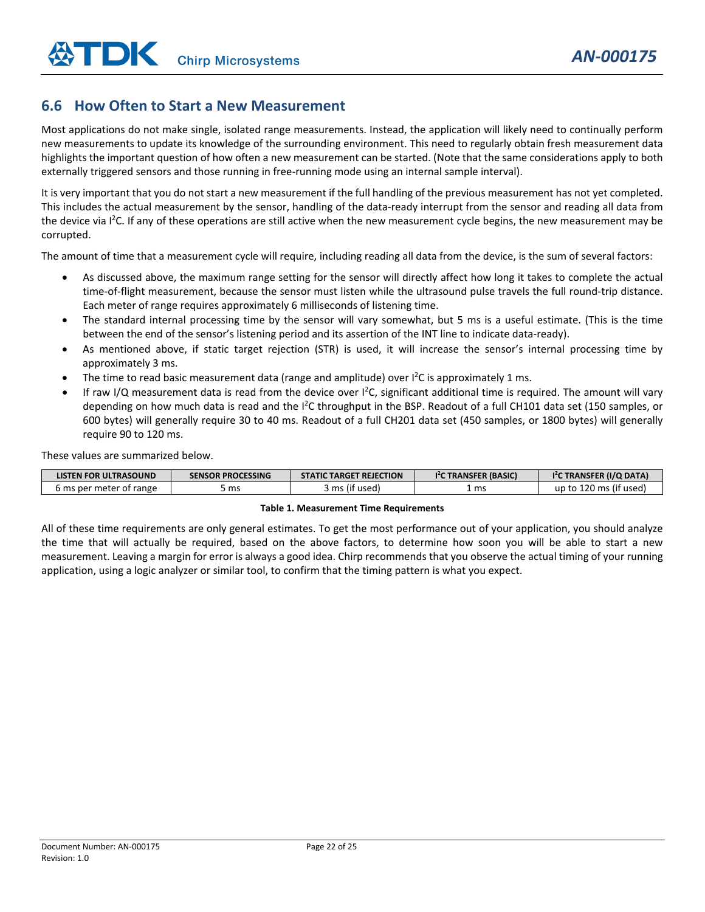# <span id="page-21-0"></span>**6.6 How Often to Start a New Measurement**

Most applications do not make single, isolated range measurements. Instead, the application will likely need to continually perform new measurements to update its knowledge of the surrounding environment. This need to regularly obtain fresh measurement data highlights the important question of how often a new measurement can be started. (Note that the same considerations apply to both externally triggered sensors and those running in free-running mode using an internal sample interval).

It is very important that you do not start a new measurement if the full handling of the previous measurement has not yet completed. This includes the actual measurement by the sensor, handling of the data-ready interrupt from the sensor and reading all data from the device via I<sup>2</sup>C. If any of these operations are still active when the new measurement cycle begins, the new measurement may be corrupted.

The amount of time that a measurement cycle will require, including reading all data from the device, is the sum of several factors:

- As discussed above, the maximum range setting for the sensor will directly affect how long it takes to complete the actual time-of-flight measurement, because the sensor must listen while the ultrasound pulse travels the full round-trip distance. Each meter of range requires approximately 6 milliseconds of listening time.
- The standard internal processing time by the sensor will vary somewhat, but 5 ms is a useful estimate. (This is the time between the end of the sensor's listening period and its assertion of the INT line to indicate data-ready).
- As mentioned above, if static target rejection (STR) is used, it will increase the sensor's internal processing time by approximately 3 ms.
- The time to read basic measurement data (range and amplitude) over I<sup>2</sup>C is approximately 1 ms.
- If raw I/Q measurement data is read from the device over I<sup>2</sup>C, significant additional time is required. The amount will vary depending on how much data is read and the I<sup>2</sup>C throughput in the BSP. Readout of a full CH101 data set (150 samples, or 600 bytes) will generally require 30 to 40 ms. Readout of a full CH201 data set (450 samples, or 1800 bytes) will generally require 90 to 120 ms.

These values are summarized below.

| <b>LISTEN FOR ULTRASOUND</b> | <b>SENSOR PROCESSING</b> | <b>STATIC TARGET REJECTION</b> | <sup>12</sup> C TRANSFER (BASIC) | TRANSFER (I/Q DATA)         |
|------------------------------|--------------------------|--------------------------------|----------------------------------|-----------------------------|
| 6 ms per meter of range      | ms                       | 'if usedi<br>mcl               | l ms                             | . 120 ms (if used)<br>up to |

#### **Table 1. Measurement Time Requirements**

All of these time requirements are only general estimates. To get the most performance out of your application, you should analyze the time that will actually be required, based on the above factors, to determine how soon you will be able to start a new measurement. Leaving a margin for error is always a good idea. Chirp recommends that you observe the actual timing of your running application, using a logic analyzer or similar tool, to confirm that the timing pattern is what you expect.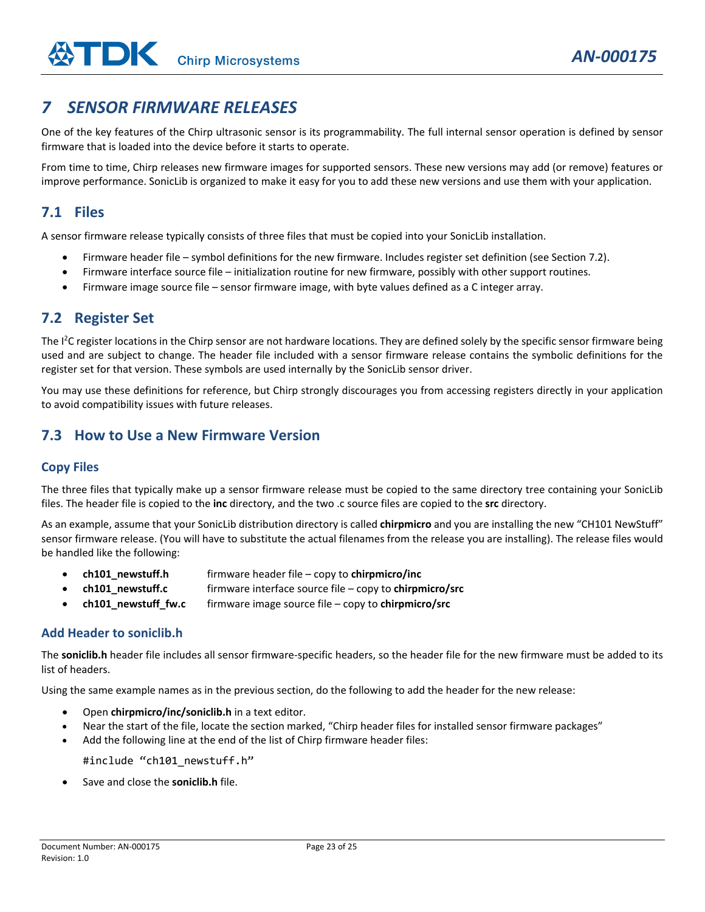# <span id="page-22-0"></span>*7 SENSOR FIRMWARE RELEASES*

One of the key features of the Chirp ultrasonic sensor is its programmability. The full internal sensor operation is defined by sensor firmware that is loaded into the device before it starts to operate.

From time to time, Chirp releases new firmware images for supported sensors. These new versions may add (or remove) features or improve performance. SonicLib is organized to make it easy for you to add these new versions and use them with your application.

# <span id="page-22-1"></span>**7.1 Files**

A sensor firmware release typically consists of three files that must be copied into your SonicLib installation.

- Firmware header file symbol definitions for the new firmware. Includes register set definition (see Sectio[n 7.2\)](#page-22-2).
- Firmware interface source file initialization routine for new firmware, possibly with other support routines.
- Firmware image source file sensor firmware image, with byte values defined as a C integer array.

## <span id="page-22-2"></span>**7.2 Register Set**

The I<sup>2</sup>C register locations in the Chirp sensor are not hardware locations. They are defined solely by the specific sensor firmware being used and are subject to change. The header file included with a sensor firmware release contains the symbolic definitions for the register set for that version. These symbols are used internally by the SonicLib sensor driver.

You may use these definitions for reference, but Chirp strongly discourages you from accessing registers directly in your application to avoid compatibility issues with future releases.

# <span id="page-22-3"></span>**7.3 How to Use a New Firmware Version**

#### **Copy Files**

The three files that typically make up a sensor firmware release must be copied to the same directory tree containing your SonicLib files. The header file is copied to the **inc** directory, and the two .c source files are copied to the **src** directory.

As an example, assume that your SonicLib distribution directory is called **chirpmicro** and you are installing the new "CH101 NewStuff" sensor firmware release. (You will have to substitute the actual filenames from the release you are installing). The release files would be handled like the following:

- **ch101\_newstuff.h** firmware header file copy to **chirpmicro/inc**
- **ch101\_newstuff.c** firmware interface source file copy to **chirpmicro/src**
- **ch101\_newstuff\_fw.c** firmware image source file copy to **chirpmicro/src**

#### **Add Header to soniclib.h**

The **soniclib.h** header file includes all sensor firmware-specific headers, so the header file for the new firmware must be added to its list of headers.

Using the same example names as in the previous section, do the following to add the header for the new release:

- Open **chirpmicro/inc/soniclib.h** in a text editor.
- Near the start of the file, locate the section marked, "Chirp header files for installed sensor firmware packages"
- Add the following line at the end of the list of Chirp firmware header files:

#include "ch101 newstuff.h"

• Save and close the **soniclib.h** file.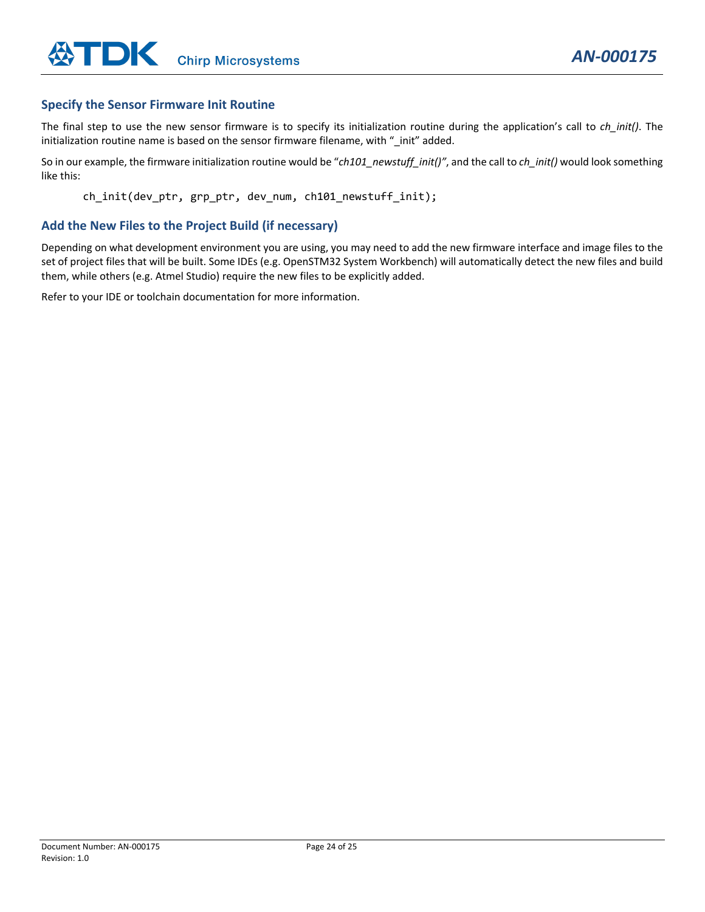#### **Specify the Sensor Firmware Init Routine**

The final step to use the new sensor firmware is to specify its initialization routine during the application's call to *ch\_init()*. The initialization routine name is based on the sensor firmware filename, with " init" added.

So in our example, the firmware initialization routine would be "*ch101\_newstuff\_init()"*, and the call to *ch\_init()* would look something like this:

ch\_init(dev\_ptr, grp\_ptr, dev\_num, ch101\_newstuff\_init);

#### **Add the New Files to the Project Build (if necessary)**

Depending on what development environment you are using, you may need to add the new firmware interface and image files to the set of project files that will be built. Some IDEs (e.g. OpenSTM32 System Workbench) will automatically detect the new files and build them, while others (e.g. Atmel Studio) require the new files to be explicitly added.

Refer to your IDE or toolchain documentation for more information.